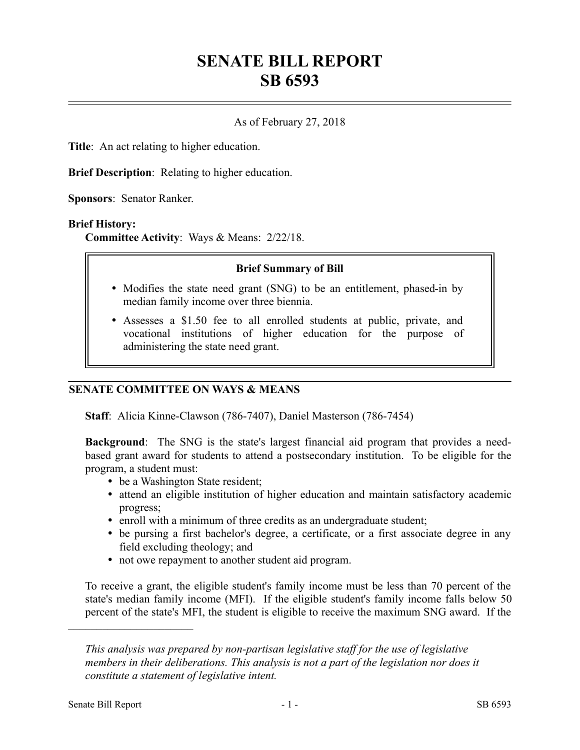# **SENATE BILL REPORT SB 6593**

## As of February 27, 2018

**Title**: An act relating to higher education.

**Brief Description**: Relating to higher education.

**Sponsors**: Senator Ranker.

#### **Brief History:**

**Committee Activity**: Ways & Means: 2/22/18.

#### **Brief Summary of Bill**

- Modifies the state need grant (SNG) to be an entitlement, phased-in by median family income over three biennia.
- Assesses a \$1.50 fee to all enrolled students at public, private, and vocational institutions of higher education for the purpose of administering the state need grant.

## **SENATE COMMITTEE ON WAYS & MEANS**

**Staff**: Alicia Kinne-Clawson (786-7407), Daniel Masterson (786-7454)

**Background**: The SNG is the state's largest financial aid program that provides a needbased grant award for students to attend a postsecondary institution. To be eligible for the program, a student must:

- be a Washington State resident;
- attend an eligible institution of higher education and maintain satisfactory academic progress;
- enroll with a minimum of three credits as an undergraduate student;
- be pursing a first bachelor's degree, a certificate, or a first associate degree in any field excluding theology; and
- not owe repayment to another student aid program.

To receive a grant, the eligible student's family income must be less than 70 percent of the state's median family income (MFI). If the eligible student's family income falls below 50 percent of the state's MFI, the student is eligible to receive the maximum SNG award. If the

––––––––––––––––––––––

*This analysis was prepared by non-partisan legislative staff for the use of legislative members in their deliberations. This analysis is not a part of the legislation nor does it constitute a statement of legislative intent.*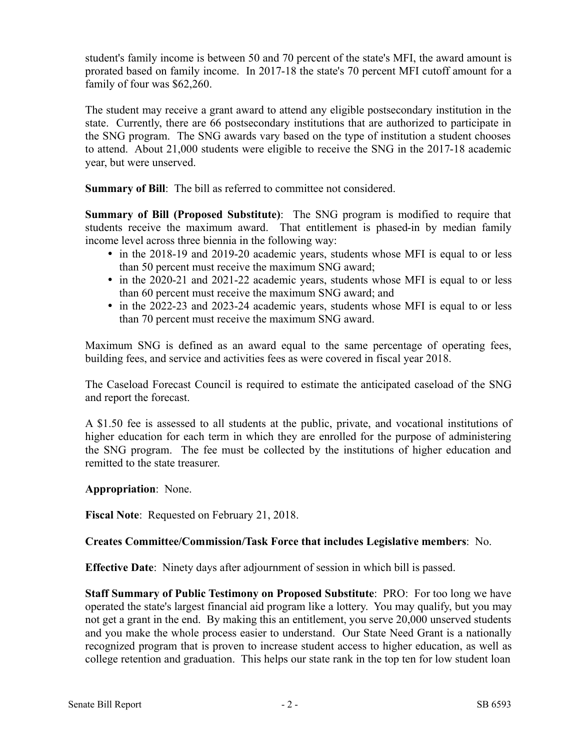student's family income is between 50 and 70 percent of the state's MFI, the award amount is prorated based on family income. In 2017-18 the state's 70 percent MFI cutoff amount for a family of four was \$62,260.

The student may receive a grant award to attend any eligible postsecondary institution in the state. Currently, there are 66 postsecondary institutions that are authorized to participate in the SNG program. The SNG awards vary based on the type of institution a student chooses to attend. About 21,000 students were eligible to receive the SNG in the 2017-18 academic year, but were unserved.

**Summary of Bill**: The bill as referred to committee not considered.

**Summary of Bill (Proposed Substitute)**: The SNG program is modified to require that students receive the maximum award. That entitlement is phased-in by median family income level across three biennia in the following way:

- in the 2018-19 and 2019-20 academic years, students whose MFI is equal to or less than 50 percent must receive the maximum SNG award;
- in the 2020-21 and 2021-22 academic years, students whose MFI is equal to or less than 60 percent must receive the maximum SNG award; and
- in the 2022-23 and 2023-24 academic years, students whose MFI is equal to or less than 70 percent must receive the maximum SNG award.

Maximum SNG is defined as an award equal to the same percentage of operating fees, building fees, and service and activities fees as were covered in fiscal year 2018.

The Caseload Forecast Council is required to estimate the anticipated caseload of the SNG and report the forecast.

A \$1.50 fee is assessed to all students at the public, private, and vocational institutions of higher education for each term in which they are enrolled for the purpose of administering the SNG program. The fee must be collected by the institutions of higher education and remitted to the state treasurer.

**Appropriation**: None.

**Fiscal Note**: Requested on February 21, 2018.

# **Creates Committee/Commission/Task Force that includes Legislative members**: No.

**Effective Date**: Ninety days after adjournment of session in which bill is passed.

**Staff Summary of Public Testimony on Proposed Substitute**: PRO: For too long we have operated the state's largest financial aid program like a lottery. You may qualify, but you may not get a grant in the end. By making this an entitlement, you serve 20,000 unserved students and you make the whole process easier to understand. Our State Need Grant is a nationally recognized program that is proven to increase student access to higher education, as well as college retention and graduation. This helps our state rank in the top ten for low student loan